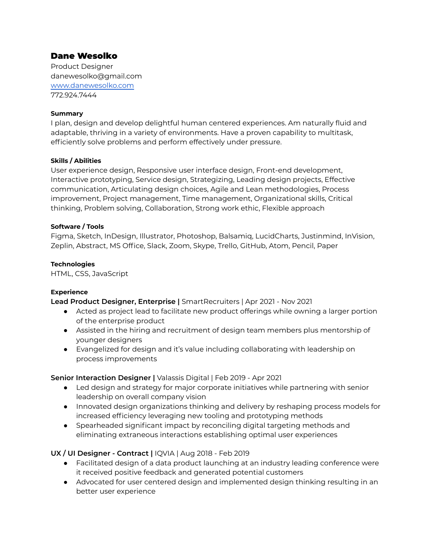# Dane Wesolko

Product Designer danewesolko@gmail.com [www.danewesolko.com](http://www.danewesolko.com/) 772.924.7444

### **Summary**

I plan, design and develop delightful human centered experiences. Am naturally fluid and adaptable, thriving in a variety of environments. Have a proven capability to multitask, efficiently solve problems and perform effectively under pressure.

### **Skills / Abilities**

User experience design, Responsive user interface design, Front-end development, Interactive prototyping, Service design, Strategizing, Leading design projects, Effective communication, Articulating design choices, Agile and Lean methodologies, Process improvement, Project management, Time management, Organizational skills, Critical thinking, Problem solving, Collaboration, Strong work ethic, Flexible approach

### **Software / Tools**

Figma, Sketch, InDesign, Illustrator, Photoshop, Balsamiq, LucidCharts, Justinmind, InVision, Zeplin, Abstract, MS Office, Slack, Zoom, Skype, Trello, GitHub, Atom, Pencil, Paper

### **Technologies**

HTML, CSS, JavaScript

### **Experience**

**Lead Product Designer, Enterprise |** SmartRecruiters | Apr 2021 - Nov 2021

- Acted as project lead to facilitate new product offerings while owning a larger portion of the enterprise product
- Assisted in the hiring and recruitment of design team members plus mentorship of younger designers
- Evangelized for design and it's value including collaborating with leadership on process improvements

## **Senior Interaction Designer |** Valassis Digital | Feb 2019 - Apr 2021

- Led design and strategy for major corporate initiatives while partnering with senior leadership on overall company vision
- Innovated design organizations thinking and delivery by reshaping process models for increased efficiency leveraging new tooling and prototyping methods
- Spearheaded significant impact by reconciling digital targeting methods and eliminating extraneous interactions establishing optimal user experiences

## **UX / UI Designer - Contract |** IQVIA | Aug 2018 - Feb 2019

- Facilitated design of a data product launching at an industry leading conference were it received positive feedback and generated potential customers
- Advocated for user centered design and implemented design thinking resulting in an better user experience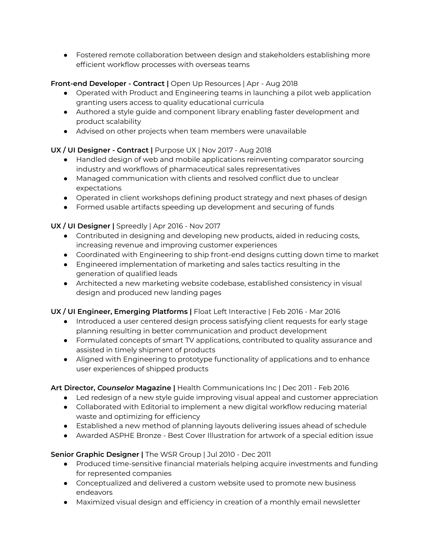● Fostered remote collaboration between design and stakeholders establishing more efficient workflow processes with overseas teams

# **Front-end Developer - Contract |** Open Up Resources | Apr - Aug 2018

- Operated with Product and Engineering teams in launching a pilot web application granting users access to quality educational curricula
- Authored a style guide and component library enabling faster development and product scalability
- Advised on other projects when team members were unavailable

# **UX / UI Designer - Contract |** Purpose UX | Nov 2017 - Aug 2018

- Handled design of web and mobile applications reinventing comparator sourcing industry and workflows of pharmaceutical sales representatives
- Managed communication with clients and resolved conflict due to unclear expectations
- Operated in client workshops defining product strategy and next phases of design
- Formed usable artifacts speeding up development and securing of funds

# **UX / UI Designer |** Spreedly | Apr 2016 - Nov 2017

- Contributed in designing and developing new products, aided in reducing costs, increasing revenue and improving customer experiences
- Coordinated with Engineering to ship front-end designs cutting down time to market
- Engineered implementation of marketing and sales tactics resulting in the generation of qualified leads
- Architected a new marketing website codebase, established consistency in visual design and produced new landing pages

# **UX / UI Engineer, Emerging Platforms |** Float Left Interactive | Feb 2016 - Mar 2016

- Introduced a user centered design process satisfying client requests for early stage planning resulting in better communication and product development
- Formulated concepts of smart TV applications, contributed to quality assurance and assisted in timely shipment of products
- Aligned with Engineering to prototype functionality of applications and to enhance user experiences of shipped products

## **Art Director,** *Counselor* **Magazine |** Health Communications Inc | Dec 2011 - Feb 2016

- Led redesign of a new style quide improving visual appeal and customer appreciation
- Collaborated with Editorial to implement a new digital workflow reducing material waste and optimizing for efficiency
- Established a new method of planning layouts delivering issues ahead of schedule
- Awarded ASPHE Bronze Best Cover Illustration for artwork of a special edition issue

# **Senior Graphic Designer |** The WSR Group | Jul 2010 - Dec 2011

- Produced time-sensitive financial materials helping acquire investments and funding for represented companies
- Conceptualized and delivered a custom website used to promote new business endeavors
- Maximized visual design and efficiency in creation of a monthly email newsletter